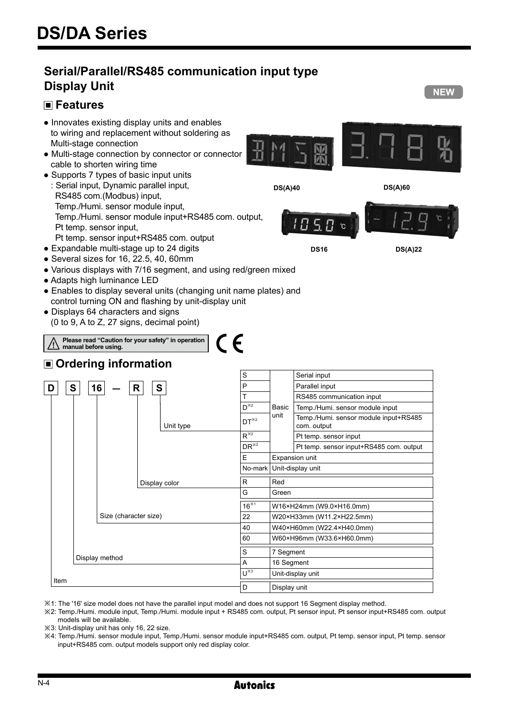# **Serial/Parallel/RS485 communication input type Display Unit**

# **Features**



- Multi-stage connection by connector or connector cable to shorten wiring time
- Supports 7 types of basic input units : Serial input, Dynamic parallel input, RS485 com.(Modbus) input, Temp./Humi. sensor module input, Temp./Humi. sensor module input+RS485 com. output, Pt temp. sensor input, Pt temp. sensor input+RS485 com. output



**DS16 DS(A)22**

**NEW** 

- Expandable multi-stage up to 24 digits ● Several sizes for 16, 22.5, 40, 60mm
- Various displays with 7/16 segment, and using red/green mixed
- Adapts high luminance LED
- Enables to display several units (changing unit name plates) and control turning ON and flashing by unit-display unit
- Displays 64 characters and signs (0 to 9, A to Z, 27 signs, decimal point)

**Please read "Caution for your safety" in operation** 

# **Ordering information**

**manual before using.**

|                        | S                        |              | Serial input                                         |
|------------------------|--------------------------|--------------|------------------------------------------------------|
| S<br>16<br>S<br>R<br>D | P                        |              | Parallel input                                       |
|                        | T                        |              | RS485 communication input                            |
|                        | $D^{\times 2}$           | Basic        | Temp./Humi. sensor module input                      |
| Unit type              | $DT^{*2}$                | unit         | Temp./Humi. sensor module input+RS485<br>com. output |
|                        | $R^{\times 2}$           |              | Pt temp. sensor input                                |
|                        | $DR^{\times 2}$          |              | Pt temp. sensor input+RS485 com. output              |
|                        | E                        |              | Expansion unit                                       |
|                        | No-mark                  |              | Unit-display unit                                    |
| Display color          | R                        | Red          |                                                      |
|                        | G                        | Green        |                                                      |
|                        | $16^{*1}$                |              | W16×H24mm (W9.0×H16.0mm)                             |
| Size (character size)  | 22                       |              | W20×H33mm (W11.2×H22.5mm)                            |
|                        | 40                       |              | W40×H60mm (W22.4×H40.0mm)                            |
|                        | 60                       |              | W60×H96mm (W33.6×H60.0mm)                            |
|                        | S                        | 7 Segment    |                                                      |
| Display method         | A                        | 16 Segment   |                                                      |
|                        | $'U^{\overline{\ast 3}}$ |              | Unit-display unit                                    |
| Item                   | D                        | Display unit |                                                      |

 $\epsilon$ 

※1: The '16' size model does not have the parallel input model and does not support 16 Segment display method.

※2: Temp./Humi. module input, Temp./Humi. module input + RS485 com. output, Pt sensor input, Pt sensor input+RS485 com. output models will be available.

- ※3: Unit-display unit has only 16, 22 size.
- ※4: Temp./Humi. sensor module input, Temp./Humi. sensor module input+RS485 com. output, Pt temp. sensor input, Pt temp. sensor input+RS485 com. output models support only red display color.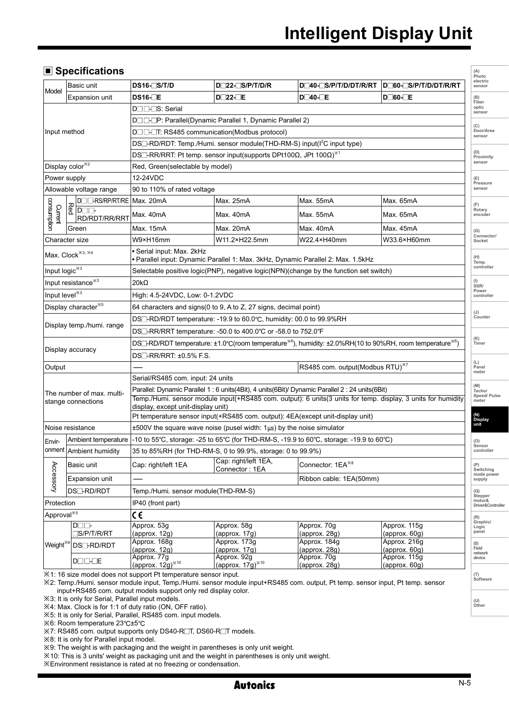**(A)** 

# **Specifications**

|                                     | Basic unit                                                                       | DS16-S/T/D                                                                                                                              | D 22- S/P/T/D/R                                                                     | D <sub>40</sub> -S/P/T/D/DT/R/RT                                                                 | DO60-S/P/T/D/DT/R/RT                                                                                         | Photo<br>electric<br>sensor    |  |  |  |
|-------------------------------------|----------------------------------------------------------------------------------|-----------------------------------------------------------------------------------------------------------------------------------------|-------------------------------------------------------------------------------------|--------------------------------------------------------------------------------------------------|--------------------------------------------------------------------------------------------------------------|--------------------------------|--|--|--|
| Model                               | <b>Expansion unit</b>                                                            | $DS16 E$                                                                                                                                | D 22- E                                                                             | $D$ 40- $E$                                                                                      | $D \Box 60$ - $E$                                                                                            | (B)                            |  |  |  |
|                                     |                                                                                  | D <sub>U</sub> LS: Serial                                                                                                               |                                                                                     |                                                                                                  |                                                                                                              | Fiber<br>optic<br>sensor       |  |  |  |
|                                     |                                                                                  |                                                                                                                                         | D□□-P: Parallel(Dynamic Parallel 1, Dynamic Parallel 2)                             |                                                                                                  |                                                                                                              | (C)<br>Door/Area               |  |  |  |
| Input method                        |                                                                                  | DUI-T: RS485 communication (Modbus protocol)                                                                                            |                                                                                     |                                                                                                  |                                                                                                              |                                |  |  |  |
|                                     |                                                                                  | DS□-RD/RDT: Temp./Humi. sensor module(THD-RM-S) input(I <sup>2</sup> C input type)                                                      |                                                                                     |                                                                                                  |                                                                                                              |                                |  |  |  |
|                                     |                                                                                  |                                                                                                                                         | DS $\Box$ -RR/RRT: Pt temp. sensor input(supports DPt100Ω, JPt 100Ω) $^{*\!\times}$ |                                                                                                  |                                                                                                              | (D)<br>Proximity               |  |  |  |
|                                     | Display color <sup>*2</sup>                                                      | sensor<br>Red, Green(selectable by model)                                                                                               |                                                                                     |                                                                                                  |                                                                                                              |                                |  |  |  |
|                                     | Power supply                                                                     | 12-24VDC                                                                                                                                |                                                                                     |                                                                                                  |                                                                                                              | (E)                            |  |  |  |
|                                     | Allowable voltage range                                                          | 90 to 110% of rated voltage                                                                                                             |                                                                                     |                                                                                                  |                                                                                                              | Pressure<br>sensor             |  |  |  |
|                                     | D <sub>O</sub> RS/RP/RT/RE                                                       | Max. 20mA                                                                                                                               | Max. 25mA                                                                           | Max. 55mA                                                                                        | Max. 65mA                                                                                                    |                                |  |  |  |
| noidrnusnoc<br>Current              | $\frac{1}{\log a}$<br>RD/RDT/RR/RRT                                              | Max. 40mA                                                                                                                               | Max. 40mA                                                                           | Max. 55mA                                                                                        | Max. 65mA                                                                                                    | (F)<br>Rotary<br>encoder       |  |  |  |
|                                     | Green                                                                            | Max. 15mA                                                                                                                               | Max. 20mA                                                                           | Max. 40mA                                                                                        | Max. 45mA                                                                                                    | (G)                            |  |  |  |
|                                     | Character size                                                                   | W9×H16mm                                                                                                                                | W11.2×H22.5mm                                                                       | W22.4×H40mm                                                                                      | W33.6×H60mm                                                                                                  | Connector/<br>Socket           |  |  |  |
|                                     | Max. Clock <sup>*8, *4</sup>                                                     | · Serial input: Max. 2kHz                                                                                                               | • Parallel input: Dynamic Parallel 1: Max. 3kHz, Dynamic Parallel 2: Max. 1.5kHz    |                                                                                                  |                                                                                                              | (H)<br>Temp.<br>controller     |  |  |  |
| Input logic <sup>*3</sup>           |                                                                                  |                                                                                                                                         |                                                                                     | Selectable positive logic(PNP), negative logic(NPN)(change by the function set switch)           |                                                                                                              |                                |  |  |  |
|                                     | Input resistance <sup>*3</sup>                                                   | $\frac{1}{SSR}$<br>$20k\Omega$                                                                                                          |                                                                                     |                                                                                                  |                                                                                                              |                                |  |  |  |
| Input level <sup>*3</sup>           |                                                                                  | High: 4.5-24VDC, Low: 0-1.2VDC                                                                                                          |                                                                                     |                                                                                                  |                                                                                                              |                                |  |  |  |
|                                     | Display character <sup>*5</sup>                                                  | 64 characters and signs (0 to 9, A to Z, 27 signs, decimal point)                                                                       |                                                                                     |                                                                                                  |                                                                                                              |                                |  |  |  |
|                                     | DS <sup>[1</sup> -RD/RDT temperature: -19.9 to 60.0°C, humidity: 00.0 to 99.9%RH |                                                                                                                                         |                                                                                     |                                                                                                  | (J)<br>Counter                                                                                               |                                |  |  |  |
|                                     | Display temp./humi. range                                                        | DS <sup>-</sup> RR/RRT temperature: -50.0 to 400.0°C or -58.0 to 752.0°F                                                                |                                                                                     |                                                                                                  |                                                                                                              |                                |  |  |  |
|                                     |                                                                                  | DS $\Box$ -RD/RDT temperature: ±1.0°C(room temperature <sup>*6</sup> ), humidity: ±2.0%RH(10 to 90%RH, room temperature <sup>*6</sup> ) |                                                                                     |                                                                                                  |                                                                                                              |                                |  |  |  |
|                                     | Display accuracy                                                                 | DS□-RR/RRT: ±0.5% F.S.                                                                                                                  |                                                                                     |                                                                                                  |                                                                                                              |                                |  |  |  |
| Output                              |                                                                                  |                                                                                                                                         |                                                                                     | RS485 com. output(Modbus RTU) <sup>37</sup>                                                      |                                                                                                              | (L)<br>Panel                   |  |  |  |
|                                     |                                                                                  | Serial/RS485 com. input: 24 units                                                                                                       |                                                                                     |                                                                                                  |                                                                                                              | meter                          |  |  |  |
|                                     | The number of max, multi-                                                        |                                                                                                                                         |                                                                                     | Parallel: Dynamic Parallel 1 : 6 units(4Bit), 4 units(6Bit)/ Dynamic Parallel 2 : 24 units(6Bit) |                                                                                                              | (M)<br>Tacho/                  |  |  |  |
|                                     | stange connections                                                               |                                                                                                                                         |                                                                                     |                                                                                                  | Temp./Humi. sensor module input(+RS485 com. output): 6 units(3 units for temp. display, 3 units for humidity | Speed/ Pulse<br>meter          |  |  |  |
|                                     |                                                                                  | display, except unit-display unit)                                                                                                      | Pt temperature sensor input(+RS485 com. output): 4EA(except unit-display unit)      |                                                                                                  |                                                                                                              | (N)<br>Display                 |  |  |  |
|                                     | Noise resistance                                                                 |                                                                                                                                         | $\pm 500$ V the square wave noise (pusel width: $1\mu s$ ) by the noise simulator   |                                                                                                  |                                                                                                              |                                |  |  |  |
| Envir-                              | Ambient temperature                                                              |                                                                                                                                         |                                                                                     | -10 to 55°C, storage: -25 to 65°C (for THD-RM-S, -19.9 to 60°C, storage: -19.9 to 60°C)          |                                                                                                              | (O)                            |  |  |  |
| onment                              | Ambient humidity                                                                 |                                                                                                                                         | 35 to 85%RH (for THD-RM-S, 0 to 99.9%, storage: 0 to 99.9%)                         |                                                                                                  |                                                                                                              | Sensor<br>controller           |  |  |  |
|                                     |                                                                                  |                                                                                                                                         | Cap: right/left 1EA,                                                                |                                                                                                  |                                                                                                              |                                |  |  |  |
| Accessory                           | Basic unit                                                                       | Cap: right/left 1EA                                                                                                                     | Connector: 1EA                                                                      | Connector: 1EA <sup>*8</sup>                                                                     |                                                                                                              | (P)<br>Switching<br>mode power |  |  |  |
|                                     | <b>Expansion unit</b>                                                            |                                                                                                                                         |                                                                                     | Ribbon cable: 1EA(50mm)                                                                          |                                                                                                              | supply                         |  |  |  |
|                                     | <b>DS</b> -RD/RDT                                                                | Temp./Humi. sensor module(THD-RM-S)                                                                                                     |                                                                                     |                                                                                                  |                                                                                                              | (Q)<br>Stepper                 |  |  |  |
| Protection                          |                                                                                  | IP40 (front part)                                                                                                                       |                                                                                     |                                                                                                  |                                                                                                              | motor&<br>Driver&Controlle     |  |  |  |
| Approval <sup>*5</sup><br>C€<br>(R) |                                                                                  |                                                                                                                                         |                                                                                     |                                                                                                  | Graphic/                                                                                                     |                                |  |  |  |
|                                     | $D\square \square$<br>S/P/T/R/RT                                                 | Approx. 53g<br>(approx. 12g)                                                                                                            | Approx. 58g<br>(approx. 17g)                                                        | Approx. 70g<br>(approx. 28g)                                                                     | Approx. 115g<br>(approx. 60g)                                                                                | Logic<br>panel                 |  |  |  |
| Weight <sup>*s</sup>                |                                                                                  | Approx. 168q                                                                                                                            | Approx. 173g                                                                        | Approx. 184q                                                                                     | Approx. 216g                                                                                                 | (S)                            |  |  |  |
|                                     | DS <sup>-</sup> RD/RDT                                                           | (approx. 12g)                                                                                                                           | (approx. 17g)                                                                       | (approx. 28q)                                                                                    | (approx. 60q)                                                                                                | Field<br>network               |  |  |  |
|                                     | $D \square \square \square E$                                                    | Approx. 77g<br>$(approx. 12g)^{*10}$                                                                                                    | Approx. 92g<br>(approx. $17g)^{1/10}$                                               | Approx. 70g<br>(approx. 28g)                                                                     | Approx. 115g<br>${\rm (approx.60g)}$                                                                         | device                         |  |  |  |
|                                     |                                                                                  |                                                                                                                                         |                                                                                     |                                                                                                  |                                                                                                              |                                |  |  |  |

※1: 16 size model does not support Pt temperature sensor input.

※2: Temp./Humi. sensor module input, Temp./Humi. sensor module input+RS485 com. output, Pt temp. sensor input, Pt temp. sensor input+RS485 com. output models support only red display color.

※3: It is only for Serial, Parallel input models.

※4: Max. Clock is for 1:1 of duty ratio (ON, OFF ratio).

※5: It is only for Serial, Parallel, RS485 com. input models.

※6: Room temperature 23℃±5℃

※7: RS485 com. output supports only DS40-R T, DS60-R T models.

※8: It is only for Parallel input model.

※9: The weight is with packaging and the weight in parentheses is only unit weight.

※10: This is 3 units' weight as packaging unit and the weight in parentheses is only unit weight.

※Environment resistance is rated at no freezing or condensation.

**(T) Software**

**(U) Other**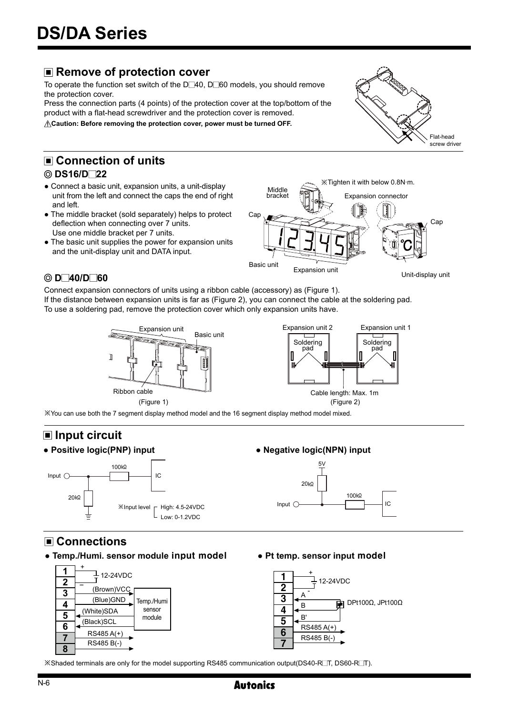# ■ Remove of protection cover

To operate the function set switch of the  $D\Box 40$ ,  $D\Box 60$  models, you should remove the protection cover.

Press the connection parts (4 points) of the protection cover at the top/bottom of the product with a flat-head screwdriver and the protection cover is removed.

**Caution: Before removing the protection cover, power must be turned OFF.** 

# **Connection of units**

# **DS16/D 22**

- Connect a basic unit, expansion units, a unit-display unit from the left and connect the caps the end of right and left.
- The middle bracket (sold separately) helps to protect deflection when connecting over 7 units. Use one middle bracket per 7 units.
- The basic unit supplies the power for expansion units and the unit-display unit and DATA input.



# **D 40/D 60**

Connect expansion connectors of units using a ribbon cable (accessory) as (Figure 1).

If the distance between expansion units is far as (Figure 2), you can connect the cable at the soldering pad. To use a soldering pad, remove the protection cover which only expansion units have.





※You can use both the 7 segment display method model and the 16 segment display method model mixed.

# **Input circuit**



# **Connections**

**● Temp./Humi. sensor module** input model



**● Pt temp. sensor input** model



※Shaded terminals are only for the model supporting RS485 communication output(DS40-R T, DS60-R T).



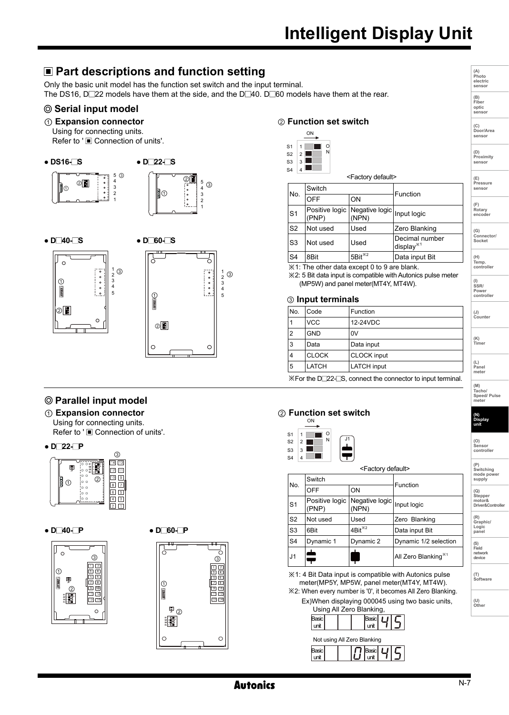# **Intelligent Display Unit**

#### **Part descriptions and function setting (A) Photo electric sensor** Only the basic unit model has the function set switch and the input terminal. The DS16, D $\square$ 22 models have them at the side, and the D $\square$ 40. D $\square$ 60 models have them at the rear. **(B) Fiber Serial input model optic sensor** ① **Expansion connector** ② **Function set switch (C) Door/Area sensor**  Using for connecting units. ON Refer to '■ Connection of units'. S1 1 Б O N  $52$  $\vert$  2 **(D) Proximity ● DS16- S ● D 22- S** S3 3 **sensor**  S4  $\overline{4}$ <Factory default> 5 ③ 4 **(E) Pressure sensor**  ② 4 5  $\odot$  $^{\circ}$ Switch 2 3 ① No. Function 2 3 off lon 1 **(F) Rotary** S1 Positive logic Negative logic<br>(NPN) 1 Input logic **encoder**  (PNP) S2 Not used Used Zero Blanking **(G) Connector/ Socket**  S3 Not used Used Decimal number **● D 40- S ● D 60- S** display※<sup>1</sup> S4 8Bit 5Bit<sup>\*2</sup> Data input Bit **(H) Temp. controller** で  $\circ$  $\overline{\mathcal{X}}$ 1: The other data except 0 to 9 are blank.  $\frac{1}{2}$  $\begin{bmatrix} 1 & 0 & 0 \\ 2 & 0 & 0 \\ 3 & 1 & 2 \\ 4 & 0 & 3 \end{bmatrix}$  $0 0 0 0 0$ ③ ※2: 5 Bit data input is compatible with Autonics pulse meter  $\odot$ (MP5W) and panel meter(MT4Y, MT4W). **(I) SSR/ Power controller** <sup>5</sup> <sup>5</sup> ① ③ **Input terminals** ② No. Code Function **(J) Counter**   $\circ$ VCC 12-24VDC ② ② $\vert$ 2 GND  $\vert$ ov **(K) Timer**  3 Data Data input  $\circ$  $\circ$ 4 CLOCK CLOCK input **(L) Panel** 5 LATCH LATCH input **meter**  ※For the D 22- S, connect the connector to input terminal. **(M) Tacho/ Speed/ Pulse Parallel input model meter**  ① **Expansion connector** ② **Function set switch (N) Display** Using for connecting units. ON **unit** Refer to ' Connection of units'. O<br>N S1 1 N J1 S2  $\overline{2}$ **(O) Sensor controller ● D 22- P** г S3 3  $\frac{1}{14}$   $\frac{13}{13}$ 4 S4 **(P) Switching mode power supply**  Ę <Factory default>  $\sqrt{12}$   $\sqrt{11}$ <sup>①</sup> <sup>②</sup> Teopolis<br>Peopoli Switch Function No.  $OFF$  ON **(Q)**  $\overline{\phantom{0}}$ **Stepper motor& Driver&Controller** S<sub>1</sub> Positive logic Negative logic Negative logic<br>(NPN) (PNP) S2 Not used Used Zero Blanking **(R) Graphic/ Logic panel ● D 40- P ● D 60- P** S3 6Bit 4Bit<sup>\*2</sup> Data input Bit S4 Dynamic 1 Dynamic 2 Dynamic 1/2 selection **(S) Field**  $\circ$ J1 **DE** All Zero Blanking<sup>\*1</sup> **network device**





※1: 4 Bit Data input is compatible with Autonics pulse meter(MP5Y, MP5W, panel meter(MT4Y, MT4W). ※2: When every number is '0', it becomes All Zero Blanking.

Ex)When displaying 000045 using two basic units, Using All Zero Blanking,



**Autonics** 

**(T) Software**

**(U) Other**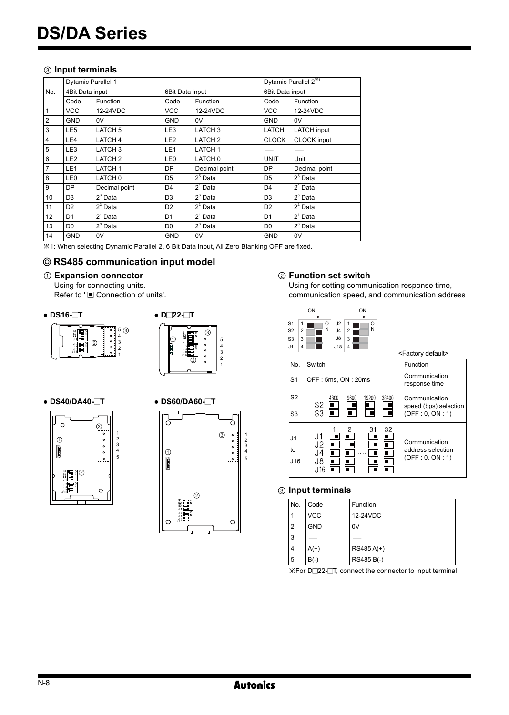# ③ **Input terminals**

| <b>Dytamic Parallel 1</b> |                    |                 |                    |                | Dytamic Parallel 2 <sup>*1</sup> |  |
|---------------------------|--------------------|-----------------|--------------------|----------------|----------------------------------|--|
| 4Bit Data input           |                    |                 | 6Bit Data input    |                | 6Bit Data input                  |  |
| Code                      | Function           | Code            | Function           | Code           | <b>Function</b>                  |  |
| <b>VCC</b>                | 12-24VDC           | VCC             | 12-24VDC           | <b>VCC</b>     | 12-24VDC                         |  |
| <b>GND</b>                | 0V                 | <b>GND</b>      | 0V                 | <b>GND</b>     | 0V                               |  |
| LE <sub>5</sub>           | LATCH <sub>5</sub> | LE3             | LATCH <sub>3</sub> | LATCH          | <b>LATCH</b> input               |  |
| LE4                       | LATCH <sub>4</sub> | LE <sub>2</sub> | LATCH <sub>2</sub> | <b>CLOCK</b>   | <b>CLOCK</b> input               |  |
| LE3                       | LATCH <sub>3</sub> | LE1             | LATCH <sub>1</sub> |                |                                  |  |
| LE <sub>2</sub>           | LATCH <sub>2</sub> | LE <sub>0</sub> | LATCH 0            | <b>UNIT</b>    | Unit                             |  |
| LE1                       | LATCH <sub>1</sub> | <b>DP</b>       | Decimal point      | DP             | Decimal point                    |  |
| LE0                       | LATCH 0            | D <sub>5</sub>  | $25$ Data          | D <sub>5</sub> | $25$ Data                        |  |
| <b>DP</b>                 | Decimal point      | D <sub>4</sub>  | $24$ Data          | D <sub>4</sub> | $24$ Data                        |  |
| D <sub>3</sub>            | $23$ Data          | D <sub>3</sub>  | $23$ Data          | D <sub>3</sub> | $23$ Data                        |  |
| D <sub>2</sub>            | $22$ Data          | D <sub>2</sub>  | $22$ Data          | D <sub>2</sub> | $22$ Data                        |  |
| D <sub>1</sub>            | $21$ Data          | D <sub>1</sub>  | $21$ Data          | D <sub>1</sub> | $21$ Data                        |  |
| D <sub>0</sub>            | $2^{\circ}$ Data   | D <sub>0</sub>  | $2^{\circ}$ Data   | D <sub>0</sub> | $2^{\circ}$ Data                 |  |
| <b>GND</b>                | 0V                 | GND             | 0V                 | <b>GND</b>     | 0V                               |  |
|                           |                    |                 |                    |                |                                  |  |

※1: When selecting Dynamic Parallel 2, 6 Bit Data input, All Zero Blanking OFF are fixed.

# **RS485 communication input model**

## ① **Expansion connector**

Using for connecting units. Refer to '■ Connection of units'.

**● DS16- T**





**● DS40/DA40- T**





# ② **Function set switch**

Using for setting communication response time, communication speed, and communication address

|                                                                                | ON<br>ON                                                                             |                                                       |
|--------------------------------------------------------------------------------|--------------------------------------------------------------------------------------|-------------------------------------------------------|
| S <sub>1</sub><br>1<br>S <sub>2</sub><br>$\overline{2}$<br>S <sub>3</sub><br>3 | .12<br>O<br>1<br>O<br>N<br>N<br> 4<br>$\overline{2}$<br>J8<br>3                      |                                                       |
| .11<br>$\overline{a}$                                                          | J18<br>4                                                                             | <factory default=""></factory>                        |
| No.                                                                            | Switch                                                                               | Function                                              |
| S <sub>1</sub>                                                                 | OFF: 5ms, ON: 20ms                                                                   | Communication<br>response time                        |
| S <sub>2</sub>                                                                 | 4800<br>9600<br>19200<br>38400<br>S <sub>2</sub>                                     | Communication<br>speed (bps) selection                |
| S <sub>3</sub>                                                                 | S3                                                                                   | (OFF: 0, ON: 1)                                       |
| J <sub>1</sub><br>to<br>J16                                                    | 32<br>31<br>2<br>J1<br>п<br>J2<br>IT .<br>П<br>14،<br>п<br>п<br>J8.<br>n<br>П<br>J16 | Communication<br>address selection<br>(OFF: 0, ON: 1) |

### ③ **Input terminals**

| No.            | Code       | Function   |
|----------------|------------|------------|
|                | <b>VCC</b> | 12-24VDC   |
| 2              | <b>GND</b> | 0V         |
| l 3            |            |            |
| $\overline{4}$ | $A(+)$     | RS485 A(+) |
| ا 5            | $B(-)$     | RS485 B(-) |

※For D 22- T, connect the connector to input terminal.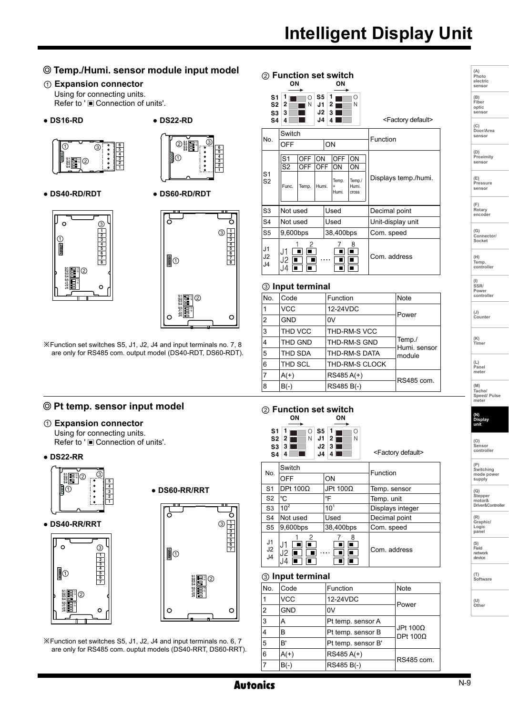# **Temp./Humi. sensor module input model**

- ① **Expansion connector** Using for connecting units. Refer to ' $\blacksquare$  Connection of units'.
- **DS16-RD**

# **● DS22-RD**





**● DS40-RD/RDT**





※Function set switches S5, J1, J2, J4 and input terminals no. 7, 8 are only for RS485 com. output model (DS40-RDT, DS60-RDT).

# **Pt temp. sensor input model**

- ① **Expansion connector** Using for connecting units. Refer to ' $\blacksquare$  Connection of units'.
- **DS22-RR**









**● DS60-RR/RRT**

※Function set switches S5, J1, J2, J4 and input terminals no. 6, 7 are only for RS485 com. ouptut models (DS40-RRT, DS60-RRT).

| ② Function set switch<br>OΝ<br>OΝ                        |                                           |                     |                                  |    |                                    |                                      |                                |
|----------------------------------------------------------|-------------------------------------------|---------------------|----------------------------------|----|------------------------------------|--------------------------------------|--------------------------------|
| S1<br>S <sub>2</sub><br>S <sub>3</sub><br>S <sub>4</sub> | 1<br>$\overline{2}$<br>3<br>4             | Ο<br>N              | S5<br>J1<br>J2<br>J <sub>4</sub> |    | 1<br>2<br>3                        | O<br>N                               | <factory default=""></factory> |
| No.                                                      | Switch<br>OFF                             |                     |                                  | ON |                                    |                                      | Function                       |
| S <sub>1</sub><br>S <sub>2</sub>                         | S <sub>1</sub><br>S <sub>2</sub><br>Func. | OFF<br>OFF<br>Temp. | ON<br>OFF<br>Humi.               |    | <b>OFF</b><br>ON<br>Temp.<br>Humi. | ON<br>ON<br>Temp./<br>Humi.<br>cross | Displays temp./humi.           |
| S <sub>3</sub>                                           | Not used                                  |                     |                                  |    | Used                               |                                      | Decimal point                  |
| S <sub>4</sub>                                           | Not used                                  |                     |                                  |    | Used                               |                                      | Unit-display unit              |
| S <sub>5</sub>                                           | 9,600bps                                  |                     |                                  |    | 38,400bps                          |                                      | Com. speed                     |
| J <sub>1</sub><br>J2<br>J <sub>4</sub>                   | . I 1<br>J2<br>J4.                        | 2                   |                                  |    |                                    | 8<br>г                               | Com. address                   |
|                                                          | ③ Input terminal                          |                     |                                  |    |                                    |                                      |                                |

| Code       | Function       | <b>Note</b>            |
|------------|----------------|------------------------|
| VCC        | 12-24VDC       | Power                  |
| <b>GND</b> | 0V             |                        |
| THD VCC    | THD-RM-S VCC   |                        |
| THD GND    | THD-RM-S GND   | Temp./<br>Humi. sensor |
| THD SDA    | THD-RM-S DATA  | module                 |
| THD SCL    | THD-RM-S CLOCK |                        |
| $A(+)$     | RS485 A(+)     | RS485 com.             |
| $B(-)$     | RS485 B(-)     |                        |
|            |                |                        |

#### ② **Function set switch** ON ON

| S1<br>S2<br>S3<br>S4       | S5.<br>Ο<br>Ν<br>2<br>۱1.<br>J2<br>3<br>J <sub>4</sub> | Ω<br>N<br>2<br>з | <factory default=""></factory> |
|----------------------------|--------------------------------------------------------|------------------|--------------------------------|
| No.                        | Switch                                                 |                  | Function                       |
|                            | OFF                                                    | ON               |                                |
| S1                         | DPt $100\Omega$                                        | JPt 100Ω         | Temp. sensor                   |
| S <sub>2</sub>             | °C                                                     | °F               | Temp. unit                     |
| S <sub>3</sub>             | 10 <sup>2</sup>                                        | $10^{1}$         | Displays integer               |
| S <sub>4</sub>             | Not used                                               | Used             | Decimal point                  |
| S5                         | 9,600bps                                               | 38,400bps        | Com. speed                     |
| J1<br>J2<br>J <sub>4</sub> | 2                                                      | 8                | Com. address                   |

#### ③ **Input terminal**

| No.            | Code       | Function           | Note                        |
|----------------|------------|--------------------|-----------------------------|
| 1              | <b>VCC</b> | 12-24VDC           |                             |
| $\overline{2}$ | <b>GND</b> | 0V                 | Power                       |
| 3              | А          | Pt temp. sensor A  |                             |
| 4              | B          | Pt temp. sensor B  | JPt 100Ω<br>DPt $100\Omega$ |
| 5              | R'         | Pt temp. sensor B' |                             |
| 6              | $A(+)$     | RS485 A(+)         | RS485 com.                  |
| 7              | $B(-)$     | RS485 B(-)         |                             |

| (A)<br>Photo<br>electric<br>sensor       |
|------------------------------------------|
| (B)<br>Fiber<br>optic<br>sensor          |
| (C)<br>Door/Area<br>sensor               |
| (D)<br>Proximity<br>sensor               |
| (E)<br>Pressure<br>sensor                |
| (F)<br>Rotary<br>encoder                 |
| $(G)$ Connector/<br>Socket               |
| (H)<br>Temp.<br>controller               |
| (I)<br>SSR/<br>''<br>Power<br>controller |
| (J)<br>Counter                           |
| (K)<br>Timer                             |
| (L)<br>Panel<br>meter                    |
| (M)<br>Tacho/<br>Speed/ Pulse<br>meter   |
| (N)<br>Dis<br>splay                      |

| (0)<br>Sensor<br>controller |
|-----------------------------|
| (P<br>Switching             |

**unit**

| m.<br>^de |
|-----------|
|           |

**(R) Graphic/ Logic panel**

**(S) Field network device**

**(T) Software**

**(U) Other**

 $\Omega$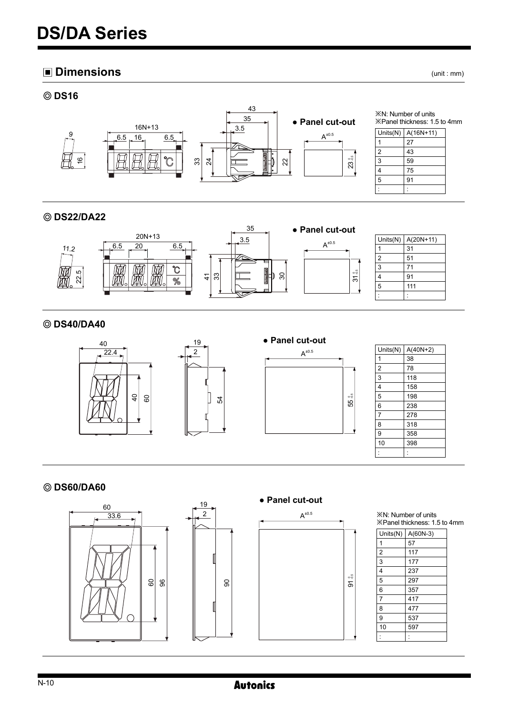# **Dimensions** (unit : mm)



# **DS22/DA22**



# **DS40/DA40**



# **DS60/DA60**



※N: Number of units ※Panel thickness: 1.5 to 4mm

| Units $(N)$    | $A(60N-3)$ |
|----------------|------------|
| 1              | 57         |
| $\overline{2}$ | 117        |
| 3              | 177        |
| 4              | 237        |
| 5              | 297        |
| 6              | 357        |
| $\overline{7}$ | 417        |
| 8              | 477        |
| 9              | 537        |
| 10             | 597        |
|                |            |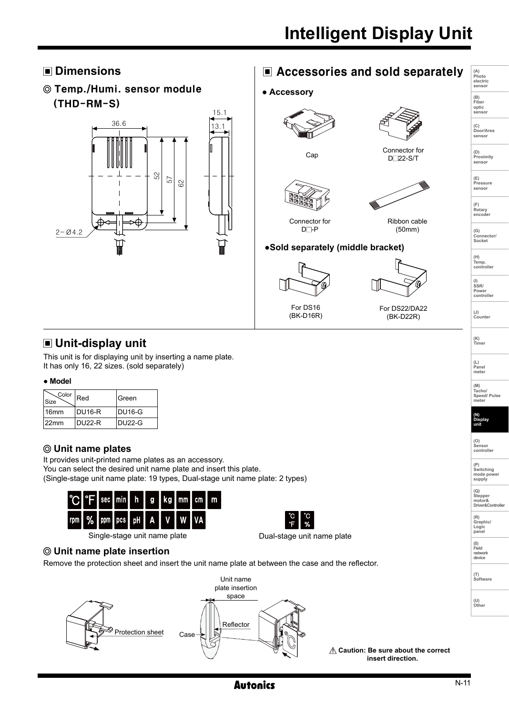

# **Unit-display unit**

This unit is for displaying unit by inserting a name plate. It has only 16, 22 sizes. (sold separately)

### **● Model**

| Color<br><b>Size</b> | Red     | <b>IGreen</b> |
|----------------------|---------|---------------|
| 16 <sub>mm</sub>     | IDU16-R | IDU16-G       |
| $122$ mm             | IDU22-R | IDU22-G       |

# **Unit name plates**

It provides unit-printed name plates as an accessory. You can select the desired unit name plate and insert this plate. (Single-stage unit name plate: 19 types, Dual-stage unit name plate: 2 types)





Single-stage unit name plate

Dual-stage unit name plate

# **Unit name plate insertion**

Remove the protection sheet and insert the unit name plate at between the case and the reflector.



 **Caution: Be sure about the correct insert direction.**



**(L) Panel meter** 

**(M) Tacho/ Speed/ Pulse meter** 

**(N) Display unit**

**(O) Sensor controller** 

**(P) Switching mode power supply (Q) Stepper motor& Driver&Controller**

**(R) Graphic/ Logic panel**

**(T) Software**

**(U) Other**

**(S) Field network device**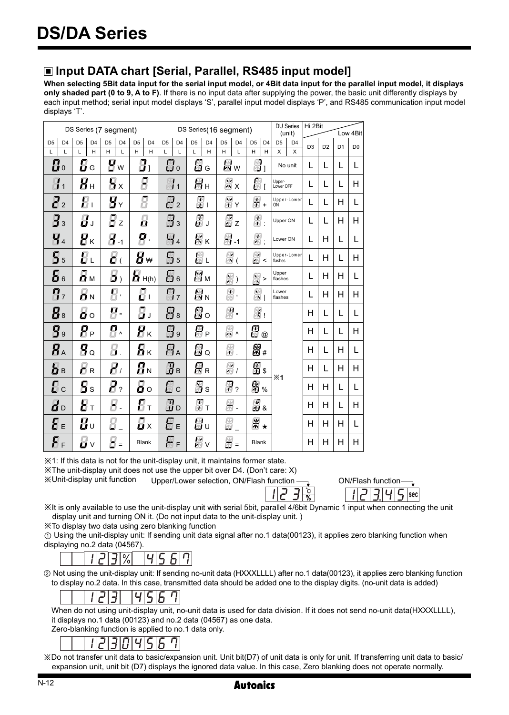# **Input DATA chart [Serial, Parallel, RS485 input model]**

**When selecting 5Bit data input for the serial input model, or 4Bit data input for the parallel input model, it displays only shaded part (0 to 9, A to F)**. If there is no input data after supplying the power, the basic unit differently displays by each input method; serial input model displays 'S', parallel input model displays 'P', and RS485 communication input model displays 'T'.

|                | DS Series (7 segment)         |                |                           |                |                                              |                |                          |                | DS Series(16 segment) |                |                   |                |                 |                       | <b>DU Series</b><br>(unit) |                     | Hi 2Bit                 |                | Low 4Bit       |                |                |
|----------------|-------------------------------|----------------|---------------------------|----------------|----------------------------------------------|----------------|--------------------------|----------------|-----------------------|----------------|-------------------|----------------|-----------------|-----------------------|----------------------------|---------------------|-------------------------|----------------|----------------|----------------|----------------|
| D <sub>5</sub> | D <sub>4</sub>                | D <sub>5</sub> | D <sub>4</sub>            | D <sub>5</sub> | D <sub>4</sub>                               | D <sub>5</sub> | D <sub>4</sub>           | D <sub>5</sub> | D <sub>4</sub>        | D <sub>5</sub> | D <sub>4</sub>    | D <sub>5</sub> | D <sub>4</sub>  | D <sub>5</sub>        | D <sub>4</sub>             | D <sub>5</sub>      | D <sub>4</sub>          |                |                |                |                |
|                | L                             | L              | H                         | H              | L                                            | H              | H                        | L              | L                     | L              | H                 | H              | L               | H.                    | H                          | $\mathsf{x}$        | $\overline{\mathsf{x}}$ | D <sub>3</sub> | D <sub>2</sub> | D <sub>1</sub> | D <sub>0</sub> |
|                | $\mathbf{g}_0$                |                | $\overline{\mathbf{B}}$ G | g              | W                                            |                | 8,                       |                | $\mathbb{G}$ o        |                | Øg                |                | 圆w              | $\frac{\sqrt{2}}{20}$ |                            |                     | No unit                 | L              | L              | L              | L              |
|                | $\frac{1}{11}$                |                | $\bm{H}_{\text{H}}$       |                | $\overline{H}_{X}$                           |                | Я                        |                | 圖1                    |                | 器н                |                | $\frac{M}{N}$ X | 圆                     |                            | Upper-<br>Lower OFF |                         | L              | L              | L              | н              |
|                | $\mathbf{Z}_2$                |                | $\bm{E}_1$                |                | $\mathbf{g}_{\scriptscriptstyle \mathsf{Y}}$ |                | g                        |                | $\mathbb{F}_2$        |                | 恩」                |                | M<br>MY         | 离+                    |                            | OŃ                  | Upper-Lower             | L              | L              | н              | L              |
|                | $\mathbf{g}_3$                |                | $\vec{a}$ ,               |                | $\mathbf{F}$ z                               |                | 员                        |                | $\mathbb{B}_3$        |                | 圆」                |                | M<br>© z        | 砢<br>m.               |                            | Upper ON            |                         | L              | L              | н              | н              |
|                | $\overline{q}_4$              |                | $\mathbf{g}_{\kappa}$     |                | $\overline{B}_{-1}$                          |                | q.                       |                | $H_4$                 |                | 图κ                |                | 贸.              | 爵.                    |                            | Lower ON            |                         | L              | н              | L              | L              |
|                | $\mathbf{5}$                  |                | $E_{\perp}$               |                | $\vec{c}$ (                                  |                | 8₩                       |                | 岛。                    |                | 圆山                |                | 闓(              | 圆<                    |                            | flashes             | Upper-Lower             | L              | н              | L              | н              |
|                | 56                            |                | Ям                        |                | $\mathbf{5}$                                 |                | $\overline{B}$ H(h)      |                | 日。                    |                | Mм                |                | 屬)              | 屬>                    |                            | Upper<br>flashes    |                         | L              | н              | н              | L              |
|                | $\mathbf{g}_{\mathbf{z}}$     |                | $\overline{\mathbf{a}}$ N |                | Я.                                           |                | $\bm{E}$ .               |                | $\mathbb{Z}_7$        |                | 阿 <sub>N</sub>    |                | 离.              | 冋<br>ës i             |                            | Lower<br>flashes    |                         | L              | н              | н              | н              |
|                | $\mathbf{g}_s$                |                | $\overline{a}$ o          | 9              | $\mathbf{u}$                                 |                | g,                       |                | $B_8$                 |                | 闓○                |                | 團.              | $\mathbb{S}$          |                            |                     |                         | н              | L              | L              | L              |
|                | B <sub>9</sub>                |                | $\bm{P}_\texttt{P}$       |                | 日^                                           |                | $\overline{H}_K$         |                | $\mathbb{B}$          |                | <i>图</i> p        |                | 照、              | 恩                     | $^{\circledR}$             |                     |                         | Н              | L              | L              | H              |
|                | $R_{\scriptscriptstyle\rm A}$ |                | $\mathbf{g}_\mathbf{q}$   |                | Я.                                           |                | Як                       |                | $F_{\rm A}$           |                | ß.                |                | 贸               | 恩#                    |                            |                     |                         | н              | L              | н              | L              |
|                | bв                            |                | $\overline{\mathsf{L}}$ R |                | $\boldsymbol{H}$                             |                | $\overline{H}_N$         |                | Øв                    |                | 留 <sub>R</sub>    |                | 屬,              | ß.                    |                            | %1                  |                         | Н              | L              | н              | н              |
|                | $\mathbf{g}_\mathrm{c}$       |                | 5s                        |                | $\boldsymbol{P}_2$                           |                | $\bar{\mathbf{a}} \circ$ |                | 圆c                    |                | 贸<br>8            |                | 盟?              | 留 <sub>%</sub>        |                            |                     |                         | Н              | н              | L              | L              |
|                | ៨៰                            |                | $\bm{g}_\mathrm{r}$       |                | Я.                                           |                | $\bm{f}_\text{L}$        |                | Øo                    |                | $\frac{\pi}{4}$ t |                | 贸.              | <b>國。</b>             |                            |                     |                         | н              | н              | L              | н              |
|                | 8 ∈                           |                | $\bm{H}$ ប                | 8              |                                              |                | Ø×                       |                | 8 с                   |                | 圈υ                | 贸              |                 | 黑★                    |                            |                     |                         | Н              | н              | Н              | L              |
|                | $\bm{S}_\mathrm{F}$           |                | Hv                        |                | 8-                                           |                | Blank                    |                | ЯF                    |                | 圆                 |                | Ø =             | Blank                 |                            |                     |                         | н              | H              | н              | H              |

※1: If this data is not for the unit-display unit, it maintains former state.

※The unit-display unit does not use the upper bit over D4. (Don't care: X)

Upper/Lower selection, ON/Flash function  $\frac{1}{\sqrt{1-\frac{1}{\sqrt{1-\frac{1}{\sqrt{1-\frac{1}{\sqrt{1-\frac{1}{\sqrt{1-\frac{1}{\sqrt{1-\frac{1}{\sqrt{1-\frac{1}{\sqrt{1-\frac{1}{\sqrt{1-\frac{1}{\sqrt{1-\frac{1}{\sqrt{1-\frac{1}{\sqrt{1-\frac{1}{\sqrt{1-\frac{1}{\sqrt{1-\frac{1}{\sqrt{1-\frac{1}{\sqrt{1-\frac{1}{\sqrt{1-\frac{1}{\sqrt{1-\frac{1}{\sqrt{1-\frac{1}{\sqrt{1$ ※Unit-display unit function

sec

※It is only available to use the unit-display unit with serial 5bit, parallel 4/6bit Dynamic 1 input when connecting the unit display unit and turning ON it. (Do not input data to the unit-display unit. )

※To display two data using zero blanking function

① Using the unit-display unit: If sending unit data signal after no.1 data(00123), it applies zero blanking function when displaying no.2 data (04567).



② Not using the unit-display unit: If sending no-unit data (HXXXLLLL) after no.1 data(00123), it applies zero blanking function to display no.2 data. In this case, transmitted data should be added one to the display digits. (no-unit data is added)

#### 456 11213 7

When do not using unit-display unit, no-unit data is used for data division. If it does not send no-unit data(HXXXLLLL), it displays no.1 data (00123) and no.2 data (04567) as one data.

Zero-blanking function is applied to no.1 data only.

# $\overline{B|B|}$

※Do not transfer unit data to basic/expansion unit. Unit bit(D7) of unit data is only for unit. If transferring unit data to basic/ expansion unit, unit bit (D7) displays the ignored data value. In this case, Zero blanking does not operate normally.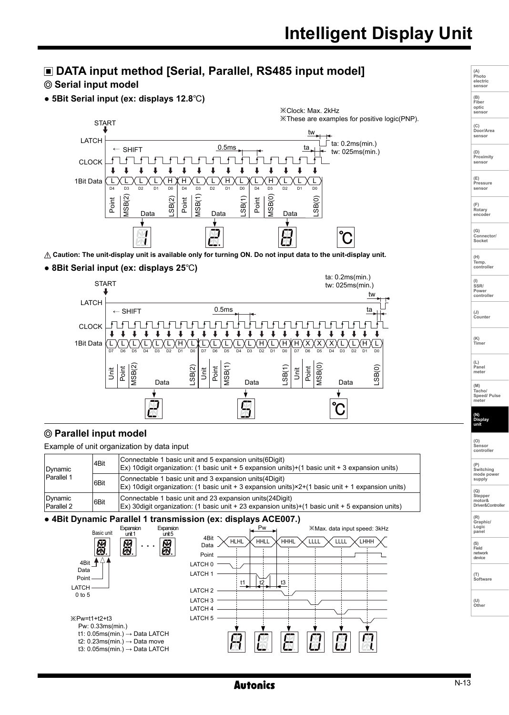# **DATA input method [Serial, Parallel, RS485 input model]**

# **Serial input model**

**● 5Bit Serial input (ex: displays 12.8**℃**)** 



 $\triangle$  Caution: The unit-display unit is available only for turning ON. Do not input data to the unit-display unit.

#### **● 8Bit Serial input (ex: displays 25**℃**)**



# **Parallel input model**

Example of unit organization by data input

| Dynamic               | Connectable 1 basic unit and 5 expansion units (6Digit)<br>4Bit<br>Ex) 10digit organization: (1 basic unit + 5 expansion units)+(1 basic unit + 3 expansion units) |                                                                                                                                                                                     |  |  |  |  |  |  |
|-----------------------|--------------------------------------------------------------------------------------------------------------------------------------------------------------------|-------------------------------------------------------------------------------------------------------------------------------------------------------------------------------------|--|--|--|--|--|--|
| Parallel 1            | 6Bit                                                                                                                                                               | Connectable 1 basic unit and 3 expansion units (4 Digit)<br>$\mathsf{Ex}$ ) 10 digit organization: (1 basic unit + 3 expansion units) $\times$ 2+(1 basic unit + 1 expansion units) |  |  |  |  |  |  |
| Dynamic<br>Parallel 2 | 6Bit                                                                                                                                                               | Connectable 1 basic unit and 23 expansion units (24 Digit)<br>(Ex) 30digit organization: (1 basic unit + 23 expansion units)+(1 basic unit + 5 expansion units)                     |  |  |  |  |  |  |

#### **● 4Bit Dynamic Parallel 1 transmission (ex: displays ACE007.)**



**Autonics** 

**(L) Panel meter (M) Tacho/ Speed/ Pulse meter** 

**(A) Photo electric sensor**

**(B) Fiber optic sensor**

**(C) Door/Area sensor** 

**(D) Proximity** senso

**(E) Pressure sensor** 

**(F) Rotary encoder** 

**(G) Connector/ Socket** 

**(H) Temp. controller**

**(I) SSR/ Power controller**

**(J) Counter** 

**(K) Timer** 

**(N) Display unit**

| Stepper          |
|------------------|
| motor&           |
| Driver&Controlle |

**(R) Graphic/ Logic panel**

**(S) Field**

**network device**

**(T) Software**

**(U) Other**

N-13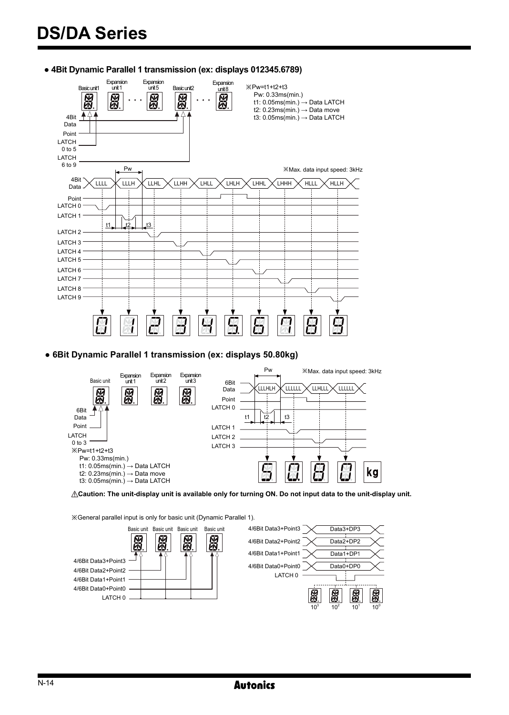



**● 6Bit Dynamic Parallel 1 transmission (ex: displays 50.80kg)**



**Caution: The unit-display unit is available only for turning ON. Do not input data to the unit-display unit.** 

※General parallel input is only for basic unit (Dynamic Parallel 1).

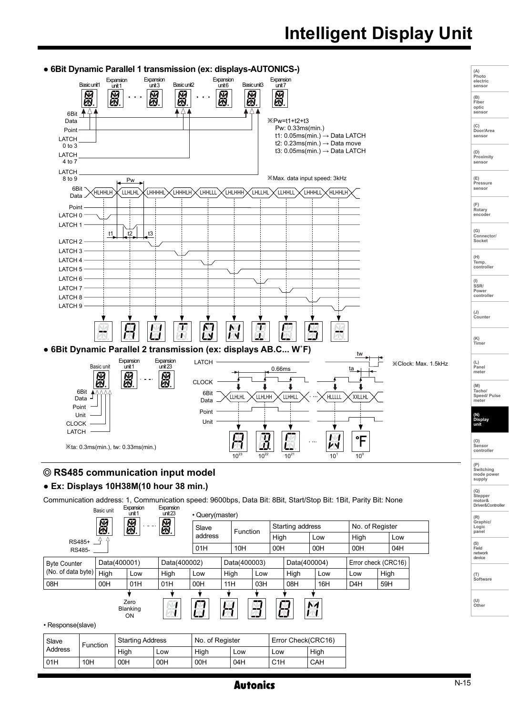# **Intelligent Display Unit**



# **● Ex: Displays 10H38M(10 hour 38 min.)**

Communication address: 1, Communication speed: 9600bps, Data Bit: 8Bit, Start/Stop Bit: 1Bit, Parity Bit: None

|                     |                 | Basic unit | Expansion<br>unit 1     | Expansion<br>unit <sub>23</sub> | • Query(master) |              |     |      |                    |      |                  |                     |
|---------------------|-----------------|------------|-------------------------|---------------------------------|-----------------|--------------|-----|------|--------------------|------|------------------|---------------------|
|                     |                 | 図          | 恩                       | 圆                               | Slave           | Function     |     |      | Starting address   |      |                  | No. of Register     |
| RS485+              |                 |            |                         |                                 | address         |              |     | High |                    | Low  | High             | Low                 |
| RS485-              |                 |            |                         |                                 | 01H             | 10H          |     | 00H  |                    | 00H  | 00H              | 04H                 |
| <b>Byte Counter</b> |                 |            | Data(400001)            |                                 | Data(400002)    | Data(400003) |     |      | Data(400004)       |      |                  | Error check (CRC16) |
| (No. of data byte)  |                 | High       | Low                     | High                            | Low             | High         | Low |      | High               | Low  | Low              | High                |
| 08H                 |                 | 00H        | 01H                     | 01H                             | 00H             | 11H          | 03H |      | 08H                | 16H  | D <sub>4</sub> H | 59H                 |
| • Response(slave)   |                 |            | Zero<br>Blanking<br>ON  |                                 |                 | H            | 5   | 8    |                    | N1   |                  |                     |
| Slave               | <b>Function</b> |            | <b>Starting Address</b> |                                 | No. of Register |              |     |      | Error Check(CRC16) |      |                  |                     |
| Address             |                 |            | High                    | Low                             | High            | Low          |     | Low  |                    | High |                  |                     |
|                     |                 |            |                         |                                 |                 |              |     |      |                    |      |                  |                     |

01H |10H |00H |00H |00H |04H |C1H |CAH

**(Q) Stepper motor& Driver&Controller**

**(R) Graphic/ Logic panel**

**(T) Software**

**(U) Other**

**(S) Field network device**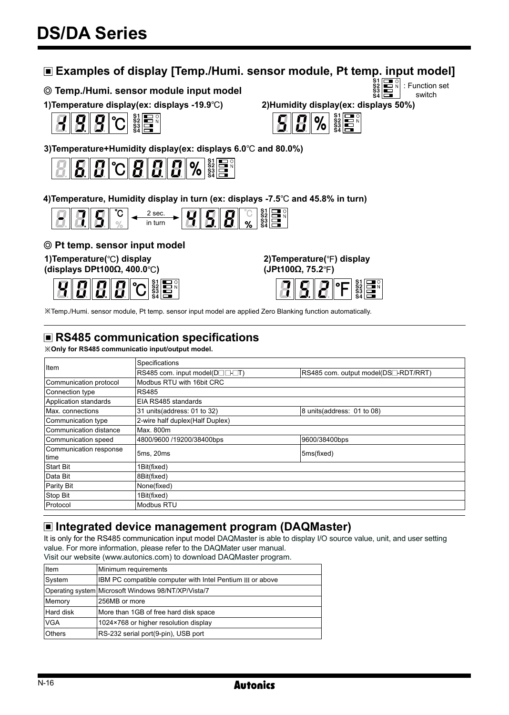# **Examples of display [Temp./Humi. sensor module, Pt temp. input model]**

# **Temp./Humi. sensor module input model**

**1)Temperature display(ex: displays -19.9**℃**) 2)Humidity display(ex: displays 50%)**



**3)Temperature+Humidity display(ex: displays 6.0**℃ **and 80.0%)**



**4)Temperature, Humidity display in turn (ex: displays -7.5**℃ **and 45.8% in turn)**



# **Pt temp. sensor input model**

**1)Temperature(**℃**) display**

**(displays DPt100Ω, 400.0**℃**)**



**2)Temperature(**℉**) display**



S4

※Temp./Humi. sensor module, Pt temp. sensor input model are applied Zero Blanking function automatically.

# **RS485 communication specifications**

※**Only for RS485 communicatio input/output model.** 

|                                        | Specifications                                    |                                                 |
|----------------------------------------|---------------------------------------------------|-------------------------------------------------|
| Item                                   | $ RS485$ com. input model( $D \Box \Box \Box T$ ) | RS485 com. output model(DS <sup>-RDT/RRT)</sup> |
| Communication protocol                 | Modbus RTU with 16bit CRC                         |                                                 |
| Connection type                        | <b>RS485</b>                                      |                                                 |
| Application standards                  | EIA RS485 standards                               |                                                 |
| Max. connections                       | 31 units(address: 01 to 32)                       | 8 units(address: 01 to 08)                      |
| Communication type                     | 2-wire half duplex(Half Duplex)                   |                                                 |
| Communication distance                 | Max. 800m                                         |                                                 |
| Communication speed                    | 4800/9600 /19200/38400bps                         | 9600/38400bps                                   |
| Communication response<br><b>Itime</b> | 5ms, 20ms                                         | 5ms(fixed)                                      |
| <b>Start Bit</b>                       | 1Bit(fixed)                                       |                                                 |
| Data Bit                               | 8Bit(fixed)                                       |                                                 |
| Parity Bit                             | None(fixed)                                       |                                                 |
| Stop Bit                               | 1Bit(fixed)                                       |                                                 |
| Protocol                               | Modbus RTU                                        |                                                 |

# **Integrated device management program (DAQMaster)**

It is only for the RS485 communication input model DAQMaster is able to display I/O source value, unit, and user setting value. For more information, please refer to the DAQMater user manual.

Visit our website (www.autonics.com) to download DAQMaster program.

| l Item        | Minimum requirements                                       |
|---------------|------------------------------------------------------------|
| System        | IBM PC compatible computer with Intel Pentium III or above |
|               | Operating system Microsoft Windows 98/NT/XP/Vista/7        |
| Memory        | 256MB or more                                              |
| Hard disk     | More than 1GB of free hard disk space                      |
| lvga          | 1024×768 or higher resolution display                      |
| <b>Others</b> | RS-232 serial port(9-pin), USB port                        |





N-16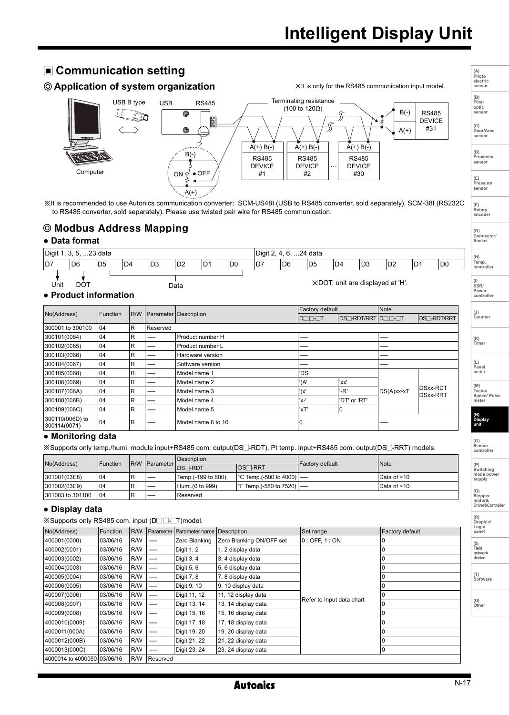**(A) Photo electric sensor**

**(B) Fiber optic sensor**

**(C) Door/Area sensor** 

**(D) Proximity** senso

**(E) Pressure sensor** 

**(F) Rotary encoder** 

**(G) Connector/ Socket** 

**(J) Counter** 

**(K) Timer** 

**(L) Panel meter** 

**(N) Display unit**

**(M) Tacho/ Speed/ Pulse meter** 

**(O) Sensor controller** 

**(P) Switching mode power supply** 

**(Q) Stepper motor& Driver&Controller**

**(R) Graphic/ Logic panel**

**(T) Software**

**(U) Other**

**(S) Field network device**

# **Communication setting**

 **Application of system organization**



※It is recommended to use Autonics communication converter; SCM-US48I (USB to RS485 converter, sold separately), SCM-38I (RS232C to RS485 converter, sold separately). Please use twisted pair wire for RS485 communication.

# Modbus Address Mapping

## **● Data format**

| Digit 1, 3, 5, 23 data        |                 |                |     |     |      |                |     |     | Digit 2, 4, 6, 24 data |     |     |                                  |     |                |     | (H)                                   |
|-------------------------------|-----------------|----------------|-----|-----|------|----------------|-----|-----|------------------------|-----|-----|----------------------------------|-----|----------------|-----|---------------------------------------|
| ID7                           | D <sub>6</sub>  | D <sub>5</sub> | ID4 | ID3 | ID2  | D <sub>1</sub> | ID0 | ID7 | D6                     | ID5 | ID4 | ID3                              | 'D2 | D <sub>1</sub> | lD0 | Temp.<br>controlle                    |
| Unit<br>• Product information | DO <sub>1</sub> |                |     |     | Data |                |     |     |                        |     |     | XDOT, unit are displayed at 'H'. |     |                |     | $\frac{1}{SSR}$<br>Power<br>controlle |

## **● Product information**

|                                 |          |            |          |                       | Factory default |                           | Note       |                                    |  |  |  |
|---------------------------------|----------|------------|----------|-----------------------|-----------------|---------------------------|------------|------------------------------------|--|--|--|
| No(Address)                     | Function | <b>R/W</b> |          | Parameter Description | <b>DOO-OT</b>   | <b>DS</b> -RDT/RRT DO BUT |            | DS <sup>-</sup> RDT/RRT            |  |  |  |
| 300001 to 300100                | 04       | R          | Reserved |                       |                 |                           |            |                                    |  |  |  |
| 300101(0064)                    | 04       | R          |          | Product number H      |                 |                           |            |                                    |  |  |  |
| 300102(0065)                    | 04       | R          |          | Product number L      |                 |                           |            |                                    |  |  |  |
| 300103(0066)                    | 04       | R          |          | Hardware version      |                 |                           |            |                                    |  |  |  |
| 300104(0067)                    | 04       | R          |          | Software version      |                 |                           |            |                                    |  |  |  |
| 300105(0068)                    | 04       | R          |          | Model name 1          | 'DS'            |                           |            |                                    |  |  |  |
| 300106(0069)                    | 04       | R          |          | Model name 2          | '(A'            | 'xx'                      |            |                                    |  |  |  |
| 300107(006A)                    | 04       | R          |          | Model name 3          | ')x'            | '-R'                      | DS(A)xx-xT | <b>DSxx-RDT</b><br><b>DSxx-RRT</b> |  |  |  |
| 300108(006B)                    | 04       | R          |          | Model name 4          | 'x-'            | 'DT' or 'RT'              |            |                                    |  |  |  |
| 300109(006C)                    | 104      | R          |          | Model name 5          | 'xT'<br>10      |                           |            |                                    |  |  |  |
| 300110(006D) to<br>300114(0071) | 04       | R          |          | Model name 6 to 10    |                 |                           |            |                                    |  |  |  |

# **● Monitoring data**

※Supports only temp./humi. module input+RS485 com. output(DS -RDT), Pt temp. input+RS485 com. output(DS -RRT) models.

| No(Address)      | Function |  | <b>R/W Parameter</b> | Description        |                           | Factory default | Note        |  |
|------------------|----------|--|----------------------|--------------------|---------------------------|-----------------|-------------|--|
|                  |          |  |                      | <b>IDS</b> -RDT    | <b>DS</b> -RRT            |                 |             |  |
| 301001(03E8)     | 104      |  |                      | Temp.(-199 to 600) | $ °C$ Temp.(-500 to 4000) |                 | Data of ×10 |  |
| 301002(03E9)     | 104      |  |                      | Humi.(0 to 999)    | °F Temp.(-580 to 7520)  — |                 | Data of ×10 |  |
| 301003 to 301100 | 104      |  |                      | Reserved           |                           |                 |             |  |
|                  |          |  |                      |                    |                           |                 |             |  |

### **● Display data**

※Supports only RS485 com. input (D□□-□T)model.

| $\sim$ ouppoins only indeed come input (Definition finduct. |          |            |                          |                          |                          |                           |                 |  |  |  |  |
|-------------------------------------------------------------|----------|------------|--------------------------|--------------------------|--------------------------|---------------------------|-----------------|--|--|--|--|
| No(Address)                                                 | Function | <b>R/W</b> |                          | Parameter Parameter name | Description              | Set range                 | Factory default |  |  |  |  |
| 400001(0000)                                                | 03/06/16 | R/W        |                          | Zero Blanking            | Zero Blanking ON/OFF set | $0:$ OFF, 1 : ON          | 0               |  |  |  |  |
| 400002(0001)                                                | 03/06/16 | R/W        |                          | Digit 1, 2               | 1, 2 display data        |                           |                 |  |  |  |  |
| 400003(0002)                                                | 03/06/16 | R/W        | —                        | Digit 3, 4               | 3, 4 display data        |                           |                 |  |  |  |  |
| 400004(0003)                                                | 03/06/16 | R/W        |                          | Digit 5, 6               | 5, 6 display data        |                           |                 |  |  |  |  |
| 400005(0004)                                                | 03/06/16 | R/W        | —                        | Digit 7, 8               | 7, 8 display data        |                           |                 |  |  |  |  |
| 400006(0005)                                                | 03/06/16 | R/W        |                          | Digit 9, 10              | 9, 10 display data       |                           |                 |  |  |  |  |
| 400007(0006)                                                | 03/06/16 | R/W        |                          | Digit 11, 12             | 11, 12 display data      |                           |                 |  |  |  |  |
| 400008(0007)                                                | 03/06/16 | R/W        | $\overline{\phantom{a}}$ | Digit 13, 14             | 13, 14 display data      | Refer to Input data chart |                 |  |  |  |  |
| 400009(0008)                                                | 03/06/16 | R/W        |                          | Digit 15, 16             | 15, 16 display data      |                           |                 |  |  |  |  |
| 4000010(0009)                                               | 03/06/16 | R/W        |                          | Digit 17, 18             | 17, 18 display data      |                           |                 |  |  |  |  |
| 4000011(000A)                                               | 03/06/16 | R/W        |                          | Digit 19, 20             | 19, 20 display data      |                           |                 |  |  |  |  |
| 4000012(000B)                                               | 03/06/16 | R/W        |                          | Digit 21, 22             | 21, 22 display data      |                           |                 |  |  |  |  |
| 4000013(000C)                                               | 03/06/16 | R/W        |                          | Digit 23, 24             | 23, 24 display data      |                           | 0               |  |  |  |  |
| 4000014 to 4000050 03/06/16                                 |          | <b>R/W</b> | Reserved                 |                          |                          |                           |                 |  |  |  |  |

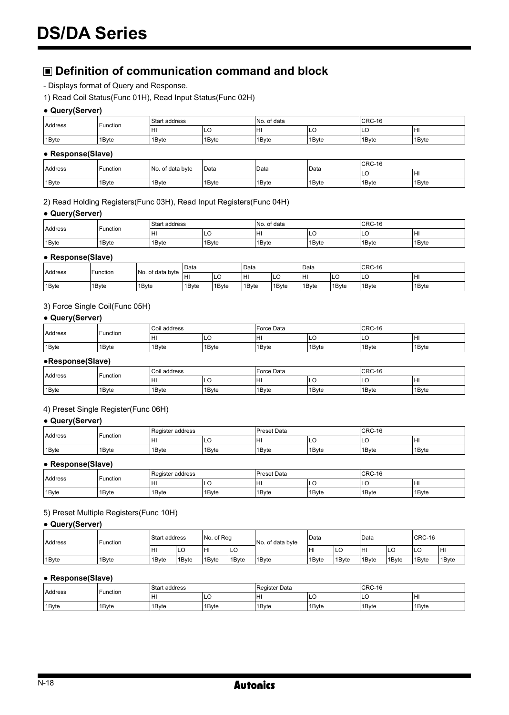# **Definition of communication command and block**

- Displays format of Query and Response.
- 1) Read Coil Status(Func 01H), Read Input Status(Func 02H)

#### **● Query(Server)**

| <b>Address</b> | Function | Start address |       | of data<br>IN <sub>o</sub> |       | CRC-16 |       |  |
|----------------|----------|---------------|-------|----------------------------|-------|--------|-------|--|
|                |          | lнı           | ILC   | HI                         | ∣∟∪   | LC     | lнı   |  |
| 1Byte          | 1Byte    | 1Byte         | 1Byte | 1Byte                      | 1Bvte | '1Bvte | 1Byte |  |

## **● Response(Slave)**

|                    | Function | No. of data byte | Data  | Data  | Data  | CRC-16 |       |  |
|--------------------|----------|------------------|-------|-------|-------|--------|-------|--|
| <b>Address</b>     |          |                  |       |       |       | ◡      | lнı   |  |
| <sup>1</sup> 1Byte | 1Byte    | 1Byte            | 1Bvte | 1Byte | 1Bvte | 1Byte  | 1Bvte |  |

#### 2) Read Holding Registers(Func 03H), Read Input Registers(Func 04H)

#### **● Query(Server)**

| <b>Address</b> | Function | Start address |       | INo. of data |       | CRC-16 |        |  |
|----------------|----------|---------------|-------|--------------|-------|--------|--------|--|
|                |          | HI            | ⋯     | HI           | ∪∟ו   | ⊐∟ו    | lнı    |  |
| 1Bvte          | 1Byte    | 1Byte         | 1Bvte | 1Byte        | 1Bvte | 1Byte  | 11Byte |  |

#### **● Response(Slave)**

| <b>Address</b> | Function | No. of data byte | l Data             |       | Data  |       | <sup>1</sup> Data |                    | CRC-16 |                    |
|----------------|----------|------------------|--------------------|-------|-------|-------|-------------------|--------------------|--------|--------------------|
|                |          |                  | lнı                | LC    | HI    | ⊔⊾    | н                 | ◡                  | -ILC   | lнı                |
| 1Bvte          | 1Byte    | 1Byte            | <sup>1</sup> 1Bvte | 1Bvte | 1Byte | 1Byte | <sup>1</sup> Bvte | <sup>'</sup> 1Bvte | 1Byte  | <sup>'</sup> 1Bvte |

## 3) Force Single Coil(Func 05H)

### **● Query(Server)**

| Address | Function | Coil address |       | l Force Data |       | CRC-16 |       |  |
|---------|----------|--------------|-------|--------------|-------|--------|-------|--|
|         |          | IНI          | ∟ບ    | HI           | ⋯     | LC     | lнı   |  |
| 1Bvte   | 1Byte    | 1Byte        | 1Byte | 1Bvte        | 1Byte | 1Byte  | 1Bvte |  |

### **●Response(Slave)**

| Address | Function | Coil address |                    | Force Data |       | <b>CRC-16</b>     |       |  |
|---------|----------|--------------|--------------------|------------|-------|-------------------|-------|--|
|         |          | HI           | "                  | HI         | ∣∟∪   | .                 | lнı   |  |
| 1Bvte   | 1Byte    | 1Byte        | <sup>1</sup> 1Bvte | 1Byte      | 1Bvte | <sup>1</sup> Bvte | 1Bvte |  |

#### 4) Preset Single Register(Func 06H)

#### **● Query(Server)**

| <b>Address</b> | Function | Register address |       | <b>Preset Data</b> |       | CRC-16            |                   |  |
|----------------|----------|------------------|-------|--------------------|-------|-------------------|-------------------|--|
|                |          | lнı              | ∪∟ו   | HI                 | ◡     | ◡                 | lнı               |  |
| 1Byte          | 1Byte    | 1Byte            | 1Bvte | 1Byte              | 1Bvte | 1 <sub>Bvte</sub> | <sup>1</sup> Byte |  |

#### **● Response(Slave)**

| <b>Address</b> | Function | Register address |       | <b>Preset Data</b> |       | CRC-16            |                    |  |
|----------------|----------|------------------|-------|--------------------|-------|-------------------|--------------------|--|
|                |          | HI               | ∪∟ו   | HI                 | ∼∟    | ◡                 | lнı                |  |
| 1Byte          | 1Byte    | 1Byte            | 1Bvte | 1Byte              | 1Bvte | 1 <sub>Bvte</sub> | <sup>1</sup> 1Bvte |  |

#### 5) Preset Multiple Registers(Func 10H)

#### **● Query(Server)**

| <b>Address</b> | Function | Start address |       | INo. of Rea |       | No. of data byte | <sup>'</sup> Data  |       | Data              |       | CRC-16 |        |
|----------------|----------|---------------|-------|-------------|-------|------------------|--------------------|-------|-------------------|-------|--------|--------|
|                |          | HI            | LC    | lнı         | ILO   |                  | HI                 | lг    | 'Hı               | ILU   | LC     | ١H١    |
| 1Bvte          | 1Byte    | 1Byte         | 1Bvte | 1Bvte       | 1Bvte | 1Byte            | <sup>1</sup> 1Bvte | 1Byte | 1 <sub>Bvte</sub> | 1Byte | 1Bvte  | '1Byte |

### **● Response(Slave)**

| <b>Address</b> | Function | Start address |       | <b>Register Data</b> |        | CRC-16 |                    |  |
|----------------|----------|---------------|-------|----------------------|--------|--------|--------------------|--|
|                |          | HI            | ៲∟∪   | HI                   | .      | ∟      | lнı                |  |
| 1Bvte          | 1Byte    | 1Byte         | 1Bvte | 1Byte                | '1Bvte | 1Byte  | <sup>'</sup> 1Bvte |  |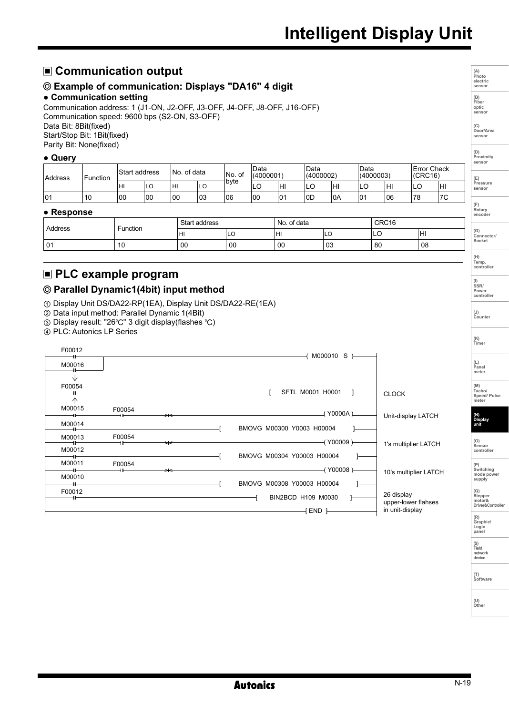# **Intelligent Display Unit**

**(A) Photo electric sensor**

**(B) Fiber optic sensor**

**(C) Door/Area sensor** 

**(D) Proximity** senso

**(E) Pressure sensor** 

**(F) Rotary encoder** 

**(G) Connector/ Socket** 

**(H) Temp. controller**

**(I) SSR/ Power controller**

**(J) Counter** 

# **Communication output**

# **Example of communication: Displays "DA16" 4 digit**

#### **● Communication setting**

Communication address: 1 (J1-ON, J2-OFF, J3-OFF, J4-OFF, J8-OFF, J16-OFF) Communication speed: 9600 bps (S2-ON, S3-OFF) Data Bit: 8Bit(fixed) Start/Stop Bit: 1Bit(fixed) Parity Bit: None(fixed)

#### **● Query**

| <b>Address</b> | Function | Start address |     | . of data<br>'No. |     | INo. of | Data<br>(4000001) | Data<br>(4000002) |     | 'Data<br>(4000003) |     | <b>Error Check</b><br>(CRC16) |        |     |
|----------------|----------|---------------|-----|-------------------|-----|---------|-------------------|-------------------|-----|--------------------|-----|-------------------------------|--------|-----|
|                |          | Iнı           | ∟∪  | нı                | ILO | †b∨te   | LU                | ŀΗI               | ᅛ   | HI                 | LC  | lнı                           | ⌒<br>◡ | lнı |
| 101            | 10       | 00            | 100 | <sub>00</sub>     | 103 | 106     | 100               | 101               | lod | 0A                 | 101 | 106                           | 78     | 17C |

#### **● Response**

| Address | Function | Start<br>t address |     | . of data<br>No. |    | CRC16 |     |
|---------|----------|--------------------|-----|------------------|----|-------|-----|
|         |          | н                  | ៲∟∪ | HI               | ◡  | ∼     | Iнı |
| 01      | טו       | 00                 | 00  | 00               | 03 | 80    | 08  |

# **PLC example program**

# **Parallel Dynamic1(4bit) input method**

① Display Unit DS/DA22-RP(1EA), Display Unit DS/DA22-RE(1EA)

② Data input method: Parallel Dynamic 1(4Bit)

③ Display result: "26℃" 3 digit display(flashes ℃)

④ PLC: Autonics LP Series

| F00012             |        |   |                                        |                                                      | (K)<br>Timer                                 |
|--------------------|--------|---|----------------------------------------|------------------------------------------------------|----------------------------------------------|
| M00016<br>V        |        |   | M000010 S )-                           |                                                      | (L)<br>Panel<br>meter                        |
| F00054<br>$\wedge$ |        |   | SFTL M0001 H0001                       | <b>CLOCK</b>                                         | (M)<br>Tacho/<br>Speed/Pulse<br>meter        |
| M00015             | F00054 | ⊶ | Y0000A)                                | Unit-display LATCH                                   |                                              |
| M00014             |        |   | BMOVG M00300 Y0003 H00004              |                                                      | (N)<br>Display<br>unit                       |
| M00013<br>M00012   | F00054 | ⇥ | Y00009 )<br>BMOVG M00304 Y00003 H00004 | 1's multiplier LATCH                                 | (O)<br>Sensor<br>controller                  |
| M00011             | F00054 | ⇥ | (Y00008)-                              |                                                      | (P)<br>Switching                             |
| M00010             |        |   | BMOVG M00308 Y00003 H00004             | 10's multiplier LATCH                                | mode power<br>supply                         |
| F00012             |        |   | BIN2BCD H109 M0030<br>END <sub>1</sub> | 26 display<br>upper-lower flahses<br>in unit-display | (Q)<br>Stepper<br>motor&<br>Driver&Controlle |
|                    |        |   |                                        |                                                      | (R)<br>Graphic/<br>Logic<br>panel            |

**Autonics** 

**(S) Field network device**

**(T) Software**

**(U) Other**